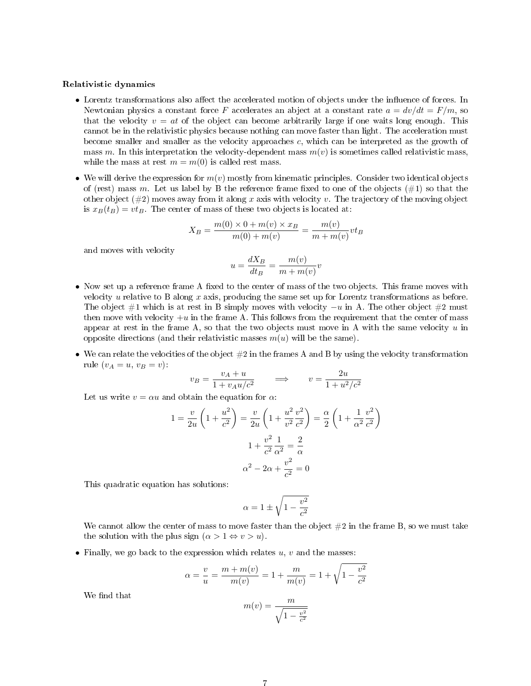#### Relativistic dynamics

- Lorentz transformations also affect the accelerated motion of objects under the influence of forces. In Newtonian physics a constant force F accelerates an abject at a constant rate  $a = dv/dt = F/m$ , so that the velocity  $v = at$  of the object can become arbitrarily large if one waits long enough. This cannot be in the relativistic physics because nothing can move faster than light. The acceleration must become smaller and smaller as the velocity approaches c, which can be interpreted as the growth of mass m. In this interpretation the velocity-dependent mass  $m(v)$  is sometimes called relativistic mass, while the mass at rest  $m = m(0)$  is called rest mass.
- We will derive the expression for  $m(v)$  mostly from kinematic principles. Consider two identical objects of (rest) mass m. Let us label by B the reference frame fixed to one of the objects  $(\#1)$  so that the other object  $(\#2)$  moves away from it along x axis with velocity v. The trajectory of the moving object is  $x_B(t_B) = vt_B$ . The center of mass of these two objects is located at:

$$
X_B = \frac{m(0) \times 0 + m(v) \times x_B}{m(0) + m(v)} = \frac{m(v)}{m + m(v)} v t_B
$$

and moves with velocity

$$
u = \frac{dX_B}{dt_B} = \frac{m(v)}{m + m(v)}v
$$

- Now set up a reference frame A fixed to the center of mass of the two objects. This frame moves with velocity u relative to B along x axis, producing the same set up for Lorentz transformations as before. The object  $#1$  which is at rest in B simply moves with velocity  $-u$  in A. The other object  $#2$  must then move with velocity  $+u$  in the frame A. This follows from the requirement that the center of mass appear at rest in the frame A, so that the two objects must move in A with the same velocity  $u$  in opposite directions (and their relativistic masses  $m(u)$  will be the same).
- We can relate the velocities of the object  $#2$  in the frames A and B by using the velocity transformation rule  $(v_A = u, v_B = v)$ :

$$
v_B = \frac{v_A + u}{1 + v_A u/c^2} \qquad \Longrightarrow \qquad v = \frac{2u}{1 + u^2/c^2}
$$

Let us write  $v = \alpha u$  and obtain the equation for  $\alpha$ .

$$
1 = \frac{v}{2u} \left( 1 + \frac{u^2}{c^2} \right) = \frac{v}{2u} \left( 1 + \frac{u^2}{v^2} \frac{v^2}{c^2} \right) = \frac{\alpha}{2} \left( 1 + \frac{1}{\alpha^2} \frac{v^2}{c^2} \right)
$$

$$
1 + \frac{v^2}{c^2} \frac{1}{\alpha^2} = \frac{2}{\alpha}
$$

$$
\alpha^2 - 2\alpha + \frac{v^2}{c^2} = 0
$$

This quadratic equation has solutions:

$$
\alpha = 1 \pm \sqrt{1 - \frac{v^2}{c^2}}
$$

We cannot allow the center of mass to move faster than the object  $#2$  in the frame B, so we must take the solution with the plus sign  $(\alpha > 1 \Leftrightarrow v > u)$ .

• Finally, we go back to the expression which relates  $u, v$  and the masses:

$$
\alpha = \frac{v}{u} = \frac{m + m(v)}{m(v)} = 1 + \frac{m}{m(v)} = 1 + \sqrt{1 - \frac{v^2}{c^2}}
$$

We find that

$$
m(v) = \frac{m}{\sqrt{1 - \frac{v^2}{c^2}}}
$$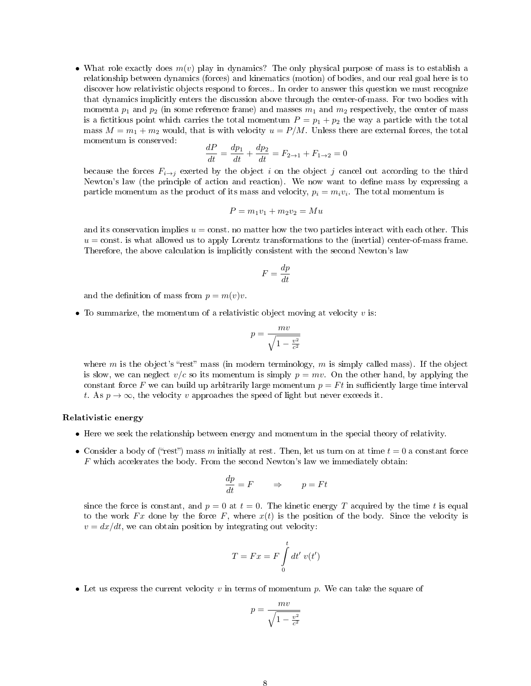• What role exactly does  $m(v)$  play in dynamics? The only physical purpose of mass is to establish a relationship between dynamics (forces) and kinematics (motion) of bodies, and our real goal here is to discover how relativistic objects respond to forces.. In order to answer this question we must recognize that dynamics implicitly enters the discussion above through the center-of-mass. For two bodies with momenta  $p_1$  and  $p_2$  (in some reference frame) and masses  $m_1$  and  $m_2$  respectively, the center of mass is a fictitious point which carries the total momentum  $P = p_1 + p_2$  the way a particle with the total mass  $M = m_1 + m_2$  would, that is with velocity  $u = P/M$ . Unless there are external forces, the total momentum is conserved:

$$
\frac{dP}{dt} = \frac{dp_1}{dt} + \frac{dp_2}{dt} = F_{2 \to 1} + F_{1 \to 2} = 0
$$

because the forces  $F_{i\rightarrow j}$  exerted by the object i on the object j cancel out according to the third Newton's law (the principle of action and reaction). We now want to define mass by expressing a particle momentum as the product of its mass and velocity,  $p_i = m_i v_i$ . The total momentum is

$$
P = m_1v_1 + m_2v_2 = Mu
$$

and its conservation implies  $u = \text{const.}$  no matter how the two particles interact with each other. This  $u = \text{const.}$  is what allowed us to apply Lorentz transformations to the (inertial) center-of-mass frame. Therefore, the above calculation is implicitly consistent with the second Newton's law

$$
F = \frac{dp}{dt}
$$

and the definition of mass from  $p = m(v)v$ .

• To summarize, the momentum of a relativistic object moving at velocity  $v$  is:

$$
p = \frac{mv}{\sqrt{1 - \frac{v^2}{c^2}}}
$$

where m is the object's "rest" mass (in modern terminology, m is simply called mass). If the object is slow, we can neglect  $v/c$  so its momentum is simply  $p = mv$ . On the other hand, by applying the constant force F we can build up arbitrarily large momentum  $p = Ft$  in sufficiently large time interval t. As  $p \to \infty$ , the velocity v approaches the speed of light but never exceeds it.

### Relativistic energy

- Here we seek the relationship between energy and momentum in the special theory of relativity.
- Consider a body of ("rest") mass m initially at rest. Then, let us turn on at time  $t = 0$  a constant force F which accelerates the body. From the second Newton's law we immediately obtain:

$$
\frac{dp}{dt} = F \qquad \Rightarrow \qquad p = Ft
$$

since the force is constant, and  $p = 0$  at  $t = 0$ . The kinetic energy T acquired by the time t is equal to the work  $Fx$  done by the force F, where  $x(t)$  is the position of the body. Since the velocity is  $v = dx/dt$ , we can obtain position by integrating out velocity:

$$
T = Fx = F \int_{0}^{t} dt' \ v(t')
$$

• Let us express the current velocity  $v$  in terms of momentum  $p$ . We can take the square of

$$
p = \frac{mv}{\sqrt{1 - \frac{v^2}{c^2}}}
$$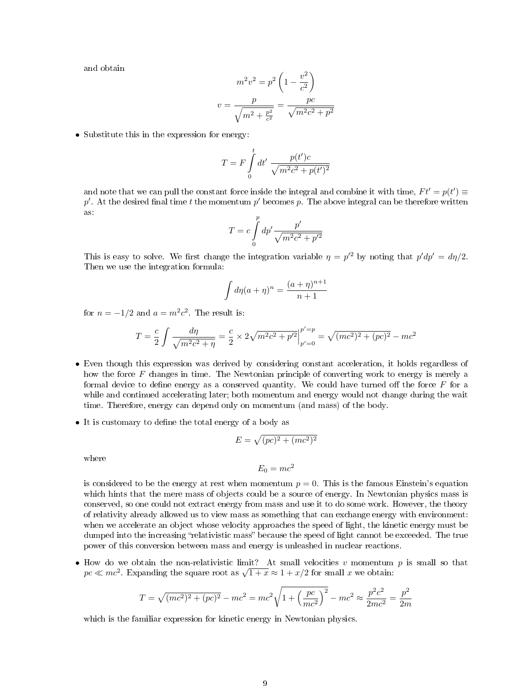and obtain

$$
m^{2}v^{2} = p^{2} \left(1 - \frac{v^{2}}{c^{2}}\right)
$$

$$
v = \frac{p}{\sqrt{m^{2} + \frac{p^{2}}{c^{2}}}} = \frac{pc}{\sqrt{m^{2}c^{2} + p^{2}}}
$$

• Substitute this in the expression for energy:

$$
T = F \int_{0}^{t} dt' \frac{p(t')c}{\sqrt{m^2c^2 + p(t')^2}}
$$

and note that we can pull the constant force inside the integral and combine it with time,  $Ft' = p(t') \equiv$  $p'$ . At the desired final time  $t$  the momentum  $p'$  becomes  $p$ . The above integral can be therefore written as:

$$
T=c\int\limits_0^p dp'\frac{p'}{\sqrt{m^2c^2+p'^2}}
$$

This is easy to solve. We first change the integration variable  $\eta = p'^2$  by noting that  $p'dp' = d\eta/2$ . Then we use the integration formula:

$$
\int d\eta (a+\eta)^n = \frac{(a+\eta)^{n+1}}{n+1}
$$

for  $n = -1/2$  and  $a = m^2c^2$ . The result is:

$$
T = \frac{c}{2} \int \frac{d\eta}{\sqrt{m^2 c^2 + \eta}} = \frac{c}{2} \times 2\sqrt{m^2 c^2 + p'^2} \Big|_{p'=0}^{p'=p} = \sqrt{(mc^2)^2 + (pc)^2} - mc^2
$$

- Even though this expression was derived by considering constant acceleration, it holds regardless of how the force F changes in time. The Newtonian principle of converting work to energy is merely a formal device to define energy as a conserved quantity. We could have turned off the force  $F$  for a while and continued accelerating later; both momentum and energy would not change during the wait time. Therefore, energy can depend only on momentum (and mass) of the body.
- It is customary to define the total energy of a body as

$$
E=\sqrt{(pc)^2+(mc^2)^2}
$$

where

$$
E_0 = mc^2
$$

is considered to be the energy at rest when momentum  $p = 0$ . This is the famous Einstein's equation which hints that the mere mass of objects could be a source of energy. In Newtonian physics mass is conserved, so one could not extract energy from mass and use it to do some work. However, the theory of relativity already allowed us to view mass as something that can exchange energy with environment: when we accelerate an object whose velocity approaches the speed of light, the kinetic energy must be dumped into the increasing "relativistic mass" because the speed of light cannot be exceeded. The true power of this conversion between mass and energy is unleashed in nuclear reactions.

• How do we obtain the non-relativistic limit? At small velocities  $v$  momentum  $p$  is small so that How do we obtain the non-relativistic limit: At small velocities v momentum  $pc \ll mc^2$ . Expanding the square root as  $\sqrt{1+x} \approx 1 + x/2$  for small x we obtain:

$$
T = \sqrt{(mc^2)^2 + (pc)^2} - mc^2 = mc^2 \sqrt{1 + \left(\frac{pc}{mc^2}\right)^2} - mc^2 \approx \frac{p^2c^2}{2mc^2} = \frac{p^2}{2m}
$$

which is the familiar expression for kinetic energy in Newtonian physics.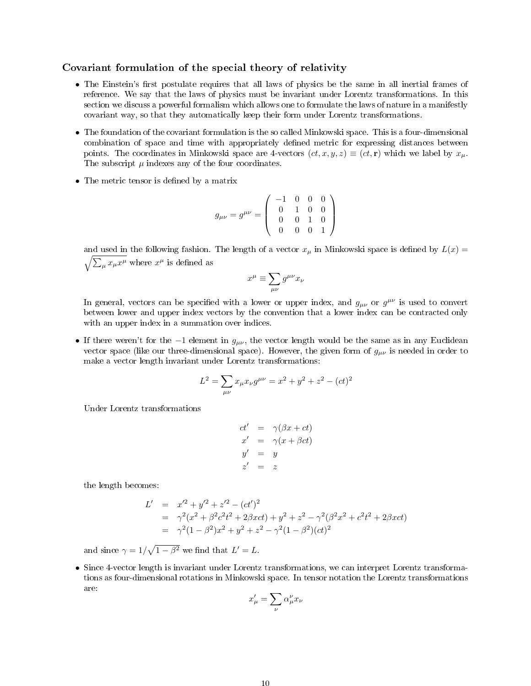## Covariant formulation of the special theory of relativity

- The Einstein's first postulate requires that all laws of physics be the same in all inertial frames of reference. We say that the laws of physics must be invariant under Lorentz transformations. In this section we discuss a powerful formalism which allows one to formulate the laws of nature in a manifestly covariant way, so that they automatically keep their form under Lorentz transformations.
- The foundation of the covariant formulation is the so called Minkowski space. This is a four-dimensional combination of space and time with appropriately defined metric for expressing distances between points. The coordinates in Minkowski space are 4-vectors  $(ct, x, y, z) \equiv (ct, r)$  which we label by  $x_u$ . The subscript  $\mu$  indexes any of the four coordinates.
- The metric tensor is defined by a matrix

$$
g_{\mu\nu} = g^{\mu\nu} = \begin{pmatrix} -1 & 0 & 0 & 0 \\ 0 & 1 & 0 & 0 \\ 0 & 0 & 1 & 0 \\ 0 & 0 & 0 & 1 \end{pmatrix}
$$

and used in the following fashion. The length of a vector  $x_\mu$  in Minkowski space is defined by  $L(x) =$  $\sqrt{\sum_{\mu} x_{\mu} x^{\mu}}$  where  $x^{\mu}$  is defined as

$$
x^\mu \equiv \sum_{\mu\nu} g^{\mu\nu} x_\nu
$$

In general, vectors can be specified with a lower or upper index, and  $g_{\mu\nu}$  or  $g^{\mu\nu}$  is used to convert between lower and upper index vectors by the convention that a lower index can be contracted only with an upper index in a summation over indices.

• If there weren't for the  $-1$  element in  $g_{\mu\nu}$ , the vector length would be the same as in any Euclidean vector space (like our three-dimensional space). However, the given form of  $g_{\mu\nu}$  is needed in order to make a vector length invariant under Lorentz transformations:

$$
L^{2} = \sum_{\mu\nu} x_{\mu} x_{\nu} g^{\mu\nu} = x^{2} + y^{2} + z^{2} - (ct)^{2}
$$

Under Lorentz transformations

$$
ct' = \gamma(\beta x + ct)
$$
  
\n
$$
x' = \gamma(x + \beta ct)
$$
  
\n
$$
y' = y
$$
  
\n
$$
z' = z
$$

the length becomes:

$$
L' = x'^2 + y'^2 + z'^2 - (ct')^2
$$
  
=  $\gamma^2(x^2 + \beta^2 c^2 t^2 + 2\beta x c t) + y^2 + z^2 - \gamma^2(\beta^2 x^2 + c^2 t^2 + 2\beta x c t)$   
=  $\gamma^2(1 - \beta^2)x^2 + y^2 + z^2 - \gamma^2(1 - \beta^2)(ct)^2$ 

and since  $\gamma = 1/\sqrt{1 - \beta^2}$  we find that  $L' = L$ .

• Since 4-vector length is invariant under Lorentz transformations, we can interpret Lorentz transformations as four-dimensional rotations in Minkowski space. In tensor notation the Lorentz transformations are:

$$
x'_{\mu} = \sum_{\nu} \alpha_{\mu}^{\nu} x_{\nu}
$$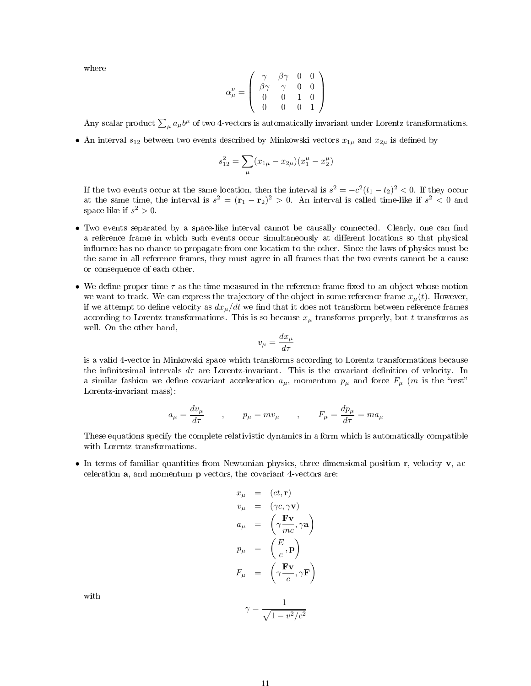where

$$
\alpha^{\nu}_{\mu} = \left(\begin{array}{cccc} \gamma & \beta\gamma & 0 & 0 \\ \beta\gamma & \gamma & 0 & 0 \\ 0 & 0 & 1 & 0 \\ 0 & 0 & 0 & 1 \end{array}\right)
$$

Any scalar product  $\sum_{\mu} a_{\mu} b^{\mu}$  of two 4-vectors is automatically invariant under Lorentz transformations.

• An interval  $s_{12}$  between two events described by Minkowski vectors  $x_{1\mu}$  and  $x_{2\mu}$  is defined by

$$
s_{12}^2 = \sum_{\mu} (x_{1\mu} - x_{2\mu})(x_1^{\mu} - x_2^{\mu})
$$

If the two events occur at the same location, then the interval is  $s^2 = -c^2(t_1-t_2)^2 < 0$ . If they occur at the same time, the interval is  $s^2 = (\mathbf{r}_1 - \mathbf{r}_2)^2 > 0$ . An interval is called time-like if  $s^2 < 0$  and space-like if  $s^2 > 0$ .

- Two events separated by a space-like interval cannot be causally connected. Clearly, one can find a reference frame in which such events occur simultaneously at different locations so that physical influence has no chance to propagate from one location to the other. Since the laws of physics must be the same in all reference frames, they must agree in all frames that the two events cannot be a cause or consequence of each other.
- We define proper time  $\tau$  as the time measured in the reference frame fixed to an object whose motion we want to track. We can express the trajectory of the object in some reference frame  $x_{\mu}(t)$ . However, if we attempt to define velocity as  $dx_{\mu}/dt$  we find that it does not transform between reference frames according to Lorentz transformations. This is so because  $x_{\mu}$  transforms properly, but t transforms as well. On the other hand,

$$
v_\mu = \frac{dx_\mu}{d\tau}
$$

is a valid 4-vector in Minkowski space which transforms according to Lorentz transformations because the infinitesimal intervals  $d\tau$  are Lorentz-invariant. This is the covariant definition of velocity. In a similar fashion we define covariant acceleration  $a_{\mu}$ , momentum  $p_{\mu}$  and force  $F_{\mu}$  (m is the "rest" Lorentz-invariant mass):

$$
a_{\mu} = \frac{dv_{\mu}}{d\tau} \qquad , \qquad p_{\mu} = mv_{\mu} \qquad , \qquad F_{\mu} = \frac{dp_{\mu}}{d\tau} = ma_{\mu}
$$

These equations specify the complete relativistic dynamics in a form which is automatically compatible with Lorentz transformations.

• In terms of familiar quantities from Newtonian physics, three-dimensional position  $\mathbf r$ , velocity  $\mathbf v$ , acceleration a, and momentum p vectors, the covariant 4-vectors are:

$$
x_{\mu} = (ct, \mathbf{r})
$$
  
\n
$$
v_{\mu} = (\gamma c, \gamma \mathbf{v})
$$
  
\n
$$
a_{\mu} = (\gamma \frac{\mathbf{F} \mathbf{v}}{mc}, \gamma \mathbf{a})
$$
  
\n
$$
p_{\mu} = (\frac{E}{c}, \mathbf{p})
$$
  
\n
$$
F_{\mu} = (\gamma \frac{\mathbf{F} \mathbf{v}}{c}, \gamma \mathbf{F})
$$

with

$$
\gamma = \frac{1}{\sqrt{1 - v^2/c^2}}
$$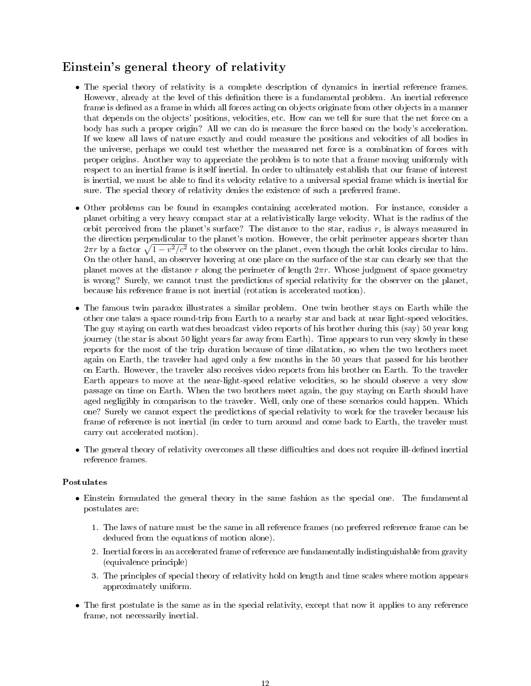# Einstein's general theory of relativity

- The special theory of relativity is a complete description of dynamics in inertial reference frames. However, already at the level of this definition there is a fundamental problem. An inertial reference frame is defined as a frame in which all forces acting on objects originate from other objects in a manner that depends on the objects' positions, velocities, etc. How can we tell for sure that the net force on a body has such a proper origin? All we can do is measure the force based on the body's acceleration. If we knew all laws of nature exactly and could measure the positions and velocities of all bodies in the universe, perhaps we could test whether the measured net force is a combination of forces with proper origins. Another way to appreciate the problem is to note that a frame moving uniformly with respect to an inertial frame is itself inertial. In order to ultimately establish that our frame of interest is inertial, we must be able to find its velocity relative to a universal special frame which is inertial for sure. The special theory of relativity denies the existence of such a preferred frame.
- Other problems can be found in examples containing accelerated motion. For instance, consider a planet orbiting a very heavy compact star at a relativistically large velocity. What is the radius of the orbit perceived from the planet's surface? The distance to the star, radius  $r$ , is always measured in the direction perpendicular to the planet's motion. However, the orbit perimeter appears shorter than  $2\pi r$  by a factor  $\sqrt{1-v^2/c^2}$  to the observer on the planet, even though the orbit looks circular to him. On the other hand, an observer hovering at one place on the surface of the star can clearly see that the planet moves at the distance r along the perimeter of length  $2\pi r$ . Whose judgment of space geometry is wrong? Surely, we cannot trust the predictions of special relativity for the observer on the planet, because his reference frame is not inertial (rotation is accelerated motion).
- The famous twin paradox illustrates a similar problem. One twin brother stays on Earth while the other one takes a space round-trip from Earth to a nearby star and back at near light-speed velocities. The guy staying on earth watches broadcast video reports of his brother during this (say) 50 year long journey (the star is about 50 light years far away from Earth). Time appears to run very slowly in these reports for the most of the trip duration because of time dilatation, so when the two brothers meet again on Earth, the traveler had aged only a few months in the 50 years that passed for his brother on Earth. However, the traveler also receives video reports from his brother on Earth. To the traveler Earth appears to move at the near-light-speed relative velocities, so he should observe a very slow passage on time on Earth. When the two brothers meet again, the guy staying on Earth should have aged negligibly in comparison to the traveler. Well, only one of these scenarios could happen. Which one? Surely we cannot expect the predictions of special relativity to work for the traveler because his frame of reference is not inertial (in order to turn around and come back to Earth, the traveler must carry out accelerated motion).
- The general theory of relativity overcomes all these difficulties and does not require ill-defined inertial reference frames.

## Postulates

- Einstein formulated the general theory in the same fashion as the special one. The fundamental postulates are:
	- 1. The laws of nature must be the same in all reference frames (no preferred reference frame can be deduced from the equations of motion alone).
	- 2. Inertial forces in an accelerated frame of reference are fundamentally indistinguishable from gravity (equivalence principle)
	- 3. The principles of special theory of relativity hold on length and time scales where motion appears approximately uniform.
- The first postulate is the same as in the special relativity, except that now it applies to any reference frame, not necessarily inertial.